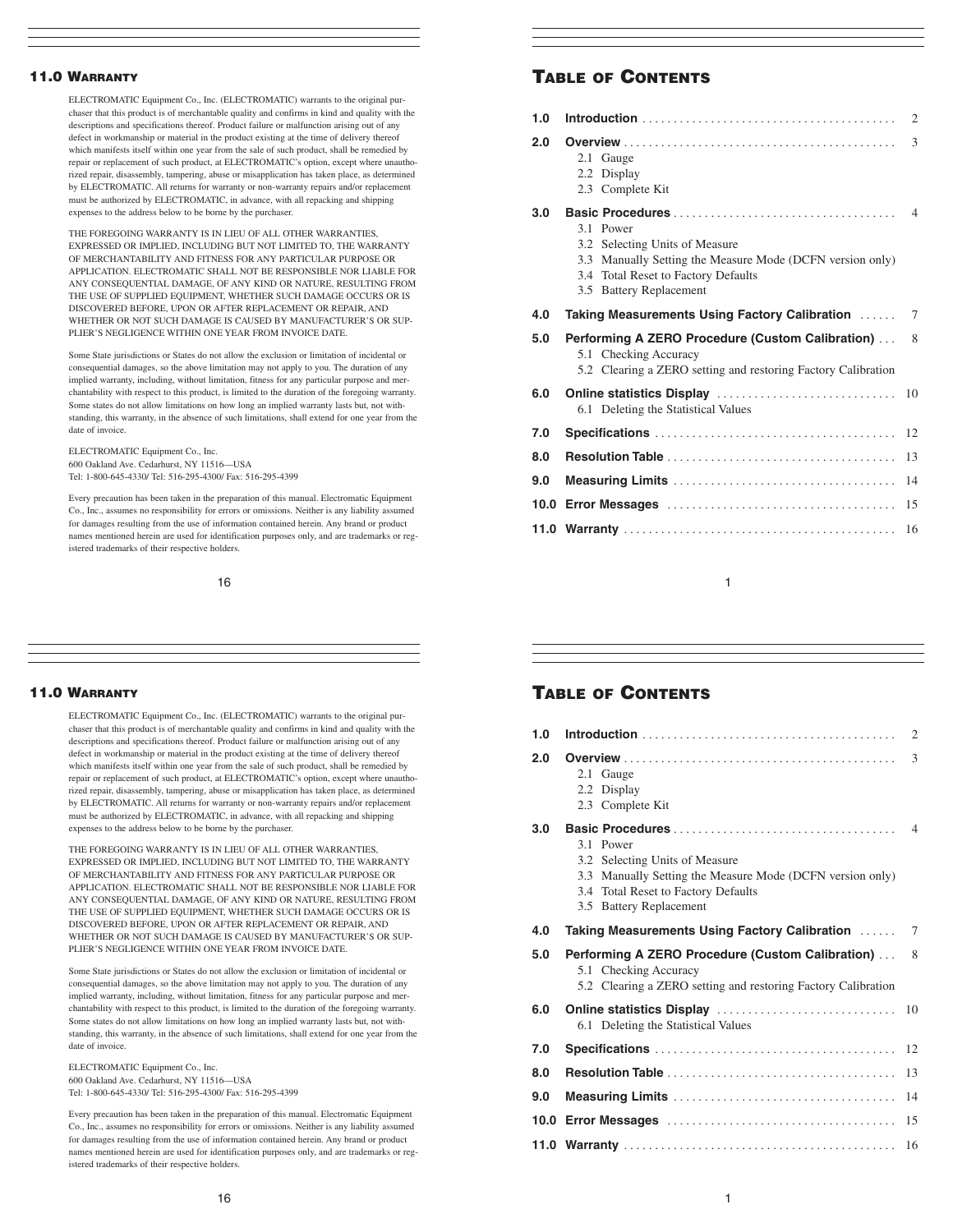# 11.0 WARRANTY

ELECTROMATIC Equipment Co., Inc. (ELECTROMATIC) warrants to the original purchaser that this product is of merchantable quality and confirms in kind and quality with the descriptions and specifications thereof. Product failure or malfunction arising out of any defect in workmanship or material in the product existing at the time of delivery thereof which manifests itself within one year from the sale of such product, shall be remedied by repair or replacement of such product, at ELECTROMATIC's option, except where unauthorized repair, disassembly, tampering, abuse or misapplication has taken place, as determined by ELECTROMATIC. All returns for warranty or non-warranty repairs and/or replacement must be authorized by ELECTROMATIC, in advance, with all repacking and shipping expenses to the address below to be borne by the purchaser.

THE FOREGOING WARRANTY IS IN LIEU OF ALL OTHER WARRANTIES, EXPRESSED OR IMPLIED, INCLUDING BUT NOT LIMITED TO, THE WARRANTY OF MERCHANTABILITY AND FITNESS FOR ANY PARTICULAR PURPOSE OR APPLICATION. ELECTROMATIC SHALL NOT BE RESPONSIBLE NOR LIABLE FOR ANY CONSEQUENTIAL DAMAGE, OF ANY KIND OR NATURE, RESULTING FROM THE USE OF SUPPLIED EQUIPMENT, WHETHER SUCH DAMAGE OCCURS OR IS DISCOVERED BEFORE, UPON OR AFTER REPLACEMENT OR REPAIR, AND WHETHER OR NOT SUCH DAMAGE IS CAUSED BY MANUFACTURER'S OR SUP-PLIER'S NEGLIGENCE WITHIN ONE YEAR FROM INVOICE DATE.

Some State jurisdictions or States do not allow the exclusion or limitation of incidental or consequential damages, so the above limitation may not apply to you. The duration of any implied warranty, including, without limitation, fitness for any particular purpose and merchantability with respect to this product, is limited to the duration of the foregoing warranty. Some states do not allow limitations on how long an implied warranty lasts but, not withstanding, this warranty, in the absence of such limitations, shall extend for one year from the date of invoice.

ELECTROMATIC Equipment Co., Inc. 600 Oakland Ave. Cedarhurst, NY 11516—USA Tel: 1-800-645-4330/ Tel: 516-295-4300/ Fax: 516-295-4399

Every precaution has been taken in the preparation of this manual. Electromatic Equipment Co., Inc., assumes no responsibility for errors or omissions. Neither is any liability assumed for damages resulting from the use of information contained herein. Any brand or product names mentioned herein are used for identification purposes only, and are trademarks or registered trademarks of their respective holders.

16

#### 11.0 WARRANTY

ELECTROMATIC Equipment Co., Inc. (ELECTROMATIC) warrants to the original purchaser that this product is of merchantable quality and confirms in kind and quality with the descriptions and specifications thereof. Product failure or malfunction arising out of any defect in workmanship or material in the product existing at the time of delivery thereof which manifests itself within one year from the sale of such product, shall be remedied by repair or replacement of such product, at ELECTROMATIC's option, except where unauthorized repair, disassembly, tampering, abuse or misapplication has taken place, as determined by ELECTROMATIC. All returns for warranty or non-warranty repairs and/or replacement must be authorized by ELECTROMATIC, in advance, with all repacking and shipping expenses to the address below to be borne by the purchaser.

THE FOREGOING WARRANTY IS IN LIEU OF ALL OTHER WARRANTIES, EXPRESSED OR IMPLIED, INCLUDING BUT NOT LIMITED TO, THE WARRANTY OF MERCHANTABILITY AND FITNESS FOR ANY PARTICULAR PURPOSE OR APPLICATION. ELECTROMATIC SHALL NOT BE RESPONSIBLE NOR LIABLE FOR ANY CONSEQUENTIAL DAMAGE, OF ANY KIND OR NATURE, RESULTING FROM THE USE OF SUPPLIED EQUIPMENT, WHETHER SUCH DAMAGE OCCURS OR IS DISCOVERED BEFORE, UPON OR AFTER REPLACEMENT OR REPAIR, AND WHETHER OR NOT SUCH DAMAGE IS CAUSED BY MANUFACTURER'S OR SUP-PLIER'S NEGLIGENCE WITHIN ONE YEAR FROM INVOICE DATE.

Some State jurisdictions or States do not allow the exclusion or limitation of incidental or consequential damages, so the above limitation may not apply to you. The duration of any implied warranty, including, without limitation, fitness for any particular purpose and merchantability with respect to this product, is limited to the duration of the foregoing warranty. Some states do not allow limitations on how long an implied warranty lasts but, not withstanding, this warranty, in the absence of such limitations, shall extend for one year from the date of invoice.

ELECTROMATIC Equipment Co., Inc. 600 Oakland Ave. Cedarhurst, NY 11516—USA Tel: 1-800-645-4330/ Tel: 516-295-4300/ Fax: 516-295-4399

Every precaution has been taken in the preparation of this manual. Electromatic Equipment Co., Inc., assumes no responsibility for errors or omissions. Neither is any liability assumed for damages resulting from the use of information contained herein. Any brand or product names mentioned herein are used for identification purposes only, and are trademarks or registered trademarks of their respective holders.

| 1.0  |                                                                                                                                                                            |                |  |
|------|----------------------------------------------------------------------------------------------------------------------------------------------------------------------------|----------------|--|
| 2.0  | 2.1 Gauge<br>2.2 Display<br>2.3 Complete Kit                                                                                                                               | 3              |  |
| 3.0  | 3.1 Power<br>3.2 Selecting Units of Measure<br>3.3 Manually Setting the Measure Mode (DCFN version only)<br>3.4 Total Reset to Factory Defaults<br>3.5 Battery Replacement | $\overline{4}$ |  |
| 4.0  | Taking Measurements Using Factory Calibration                                                                                                                              | 7              |  |
| 5.0  | <b>Performing A ZERO Procedure (Custom Calibration)</b><br>5.1 Checking Accuracy<br>5.2 Clearing a ZERO setting and restoring Factory Calibration                          | 8              |  |
| 6.0  | 6.1 Deleting the Statistical Values                                                                                                                                        |                |  |
| 7.0  |                                                                                                                                                                            | 12             |  |
| 8.0  |                                                                                                                                                                            | 13             |  |
| 9.0  |                                                                                                                                                                            | 14             |  |
| 10.0 | 15                                                                                                                                                                         |                |  |
|      | 16                                                                                                                                                                         |                |  |

1

# TABLE OF CONTENTS

| 1.0 |                                                                                                                                                                            | 2              |
|-----|----------------------------------------------------------------------------------------------------------------------------------------------------------------------------|----------------|
| 2.0 | 2.1 Gauge<br>2.2 Display<br>2.3 Complete Kit                                                                                                                               | 3              |
| 3.0 | 3.1 Power<br>3.2 Selecting Units of Measure<br>3.3 Manually Setting the Measure Mode (DCFN version only)<br>3.4 Total Reset to Factory Defaults<br>3.5 Battery Replacement | $\overline{4}$ |
| 4.0 | Taking Measurements Using Factory Calibration                                                                                                                              | $\tau$         |
| 5.0 | Performing A ZERO Procedure (Custom Calibration)<br>5.1 Checking Accuracy<br>5.2 Clearing a ZERO setting and restoring Factory Calibration                                 | 8              |
| 6.0 | 6.1 Deleting the Statistical Values                                                                                                                                        |                |
| 7.0 |                                                                                                                                                                            | 12             |
| 8.0 |                                                                                                                                                                            | 13             |
| 9.0 |                                                                                                                                                                            | 14             |
|     |                                                                                                                                                                            | 15             |
|     |                                                                                                                                                                            | 16             |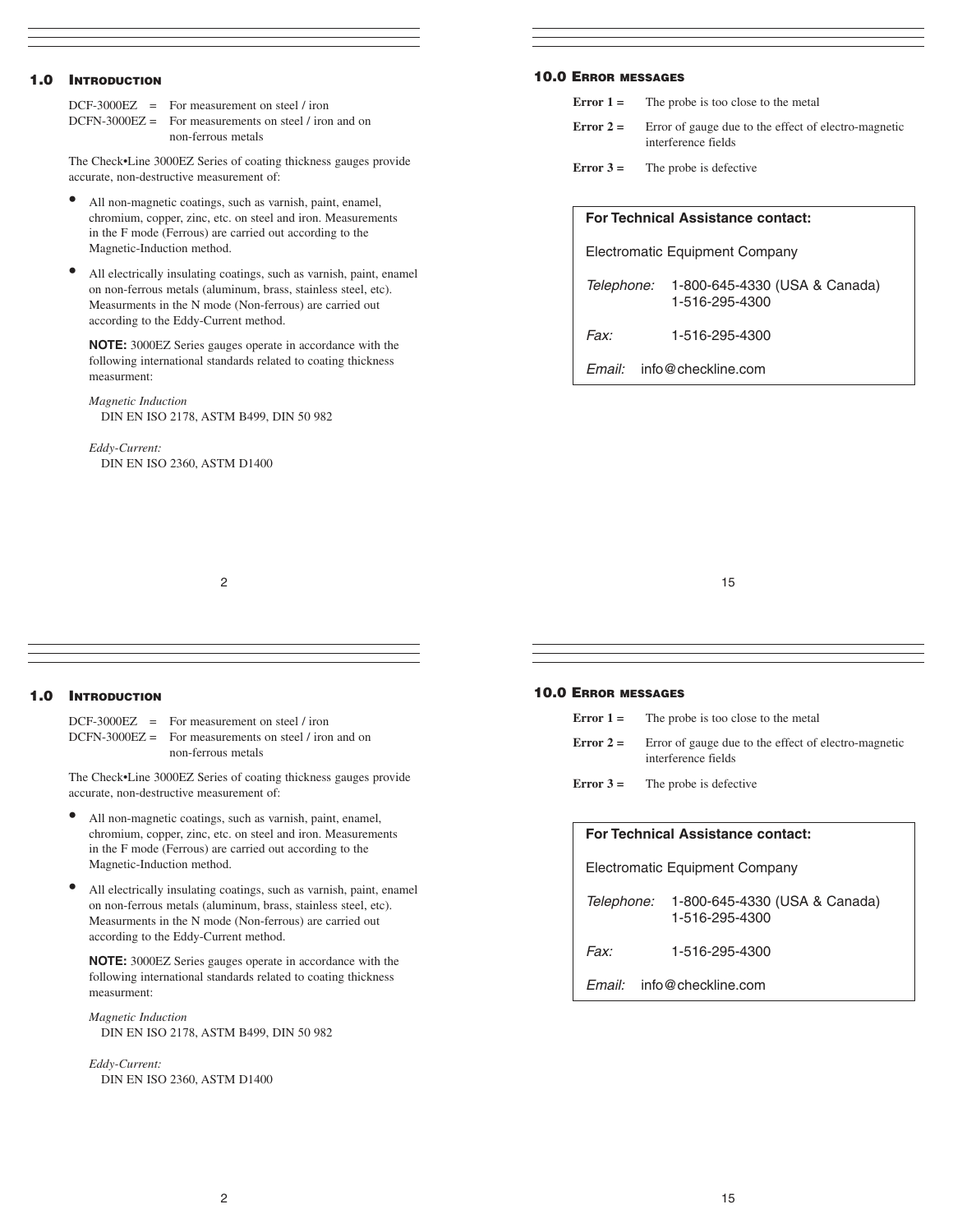# 1.0 INTRODUCTION

 $DCF-3000EZ$  = For measurement on steel / iron DCFN-3000EZ = For measurements on steel / iron and on non-ferrous metals

The Check•Line 3000EZ Series of coating thickness gauges provide accurate, non-destructive measurement of:

- All non-magnetic coatings, such as varnish, paint, enamel, chromium, copper, zinc, etc. on steel and iron. Measurements in the F mode (Ferrous) are carried out according to the Magnetic-Induction method.
- All electrically insulating coatings, such as varnish, paint, enamel on non-ferrous metals (aluminum, brass, stainless steel, etc). Measurments in the N mode (Non-ferrous) are carried out according to the Eddy-Current method.

**NOTE:** 3000EZ Series gauges operate in accordance with the following international standards related to coating thickness measurment:

*Magnetic Induction* DIN EN ISO 2178, ASTM B499, DIN 50 982

*Eddy-Current:* DIN EN ISO 2360, ASTM D1400

# 10.0 ERROR MESSAGES

**Error 1** = The probe is too close to the metal

- **Error 2 =** Error of gauge due to the effect of electro-magnetic interference fields
- **Error 3 =** The probe is defective

| <b>For Technical Assistance contact:</b> |                                                            |  |  |
|------------------------------------------|------------------------------------------------------------|--|--|
| <b>Electromatic Equipment Company</b>    |                                                            |  |  |
|                                          | Telephone: 1-800-645-4330 (USA & Canada)<br>1-516-295-4300 |  |  |
| Fax <sup>.</sup>                         | 1-516-295-4300                                             |  |  |
| info@checkline.com<br>Email:             |                                                            |  |  |

2

#### 15

# 1.0 INTRODUCTION

DCF-3000EZ = For measurement on steel / iron DCFN-3000EZ = For measurements on steel / iron and on non-ferrous metals

The Check•Line 3000EZ Series of coating thickness gauges provide accurate, non-destructive measurement of:

- All non-magnetic coatings, such as varnish, paint, enamel, chromium, copper, zinc, etc. on steel and iron. Measurements in the F mode (Ferrous) are carried out according to the Magnetic-Induction method.
- All electrically insulating coatings, such as varnish, paint, enamel on non-ferrous metals (aluminum, brass, stainless steel, etc). Measurments in the N mode (Non-ferrous) are carried out according to the Eddy-Current method.

**NOTE:** 3000EZ Series gauges operate in accordance with the following international standards related to coating thickness measurment:

*Magnetic Induction* DIN EN ISO 2178, ASTM B499, DIN 50 982

*Eddy-Current:* DIN EN ISO 2360, ASTM D1400

## 10.0 ERROR MESSAGES

**Error 1** = The probe is too close to the metal

- **Error 2 =** Error of gauge due to the effect of electro-magnetic interference fields
- **Error 3 =** The probe is defective

# **For Technical Assistance contact:**

Electromatic Equipment Company Telephone: 1-800-645-4330 (USA & Canada) 1-516-295-4300

Fax: 1-516-295-4300

Email: info@checkline.com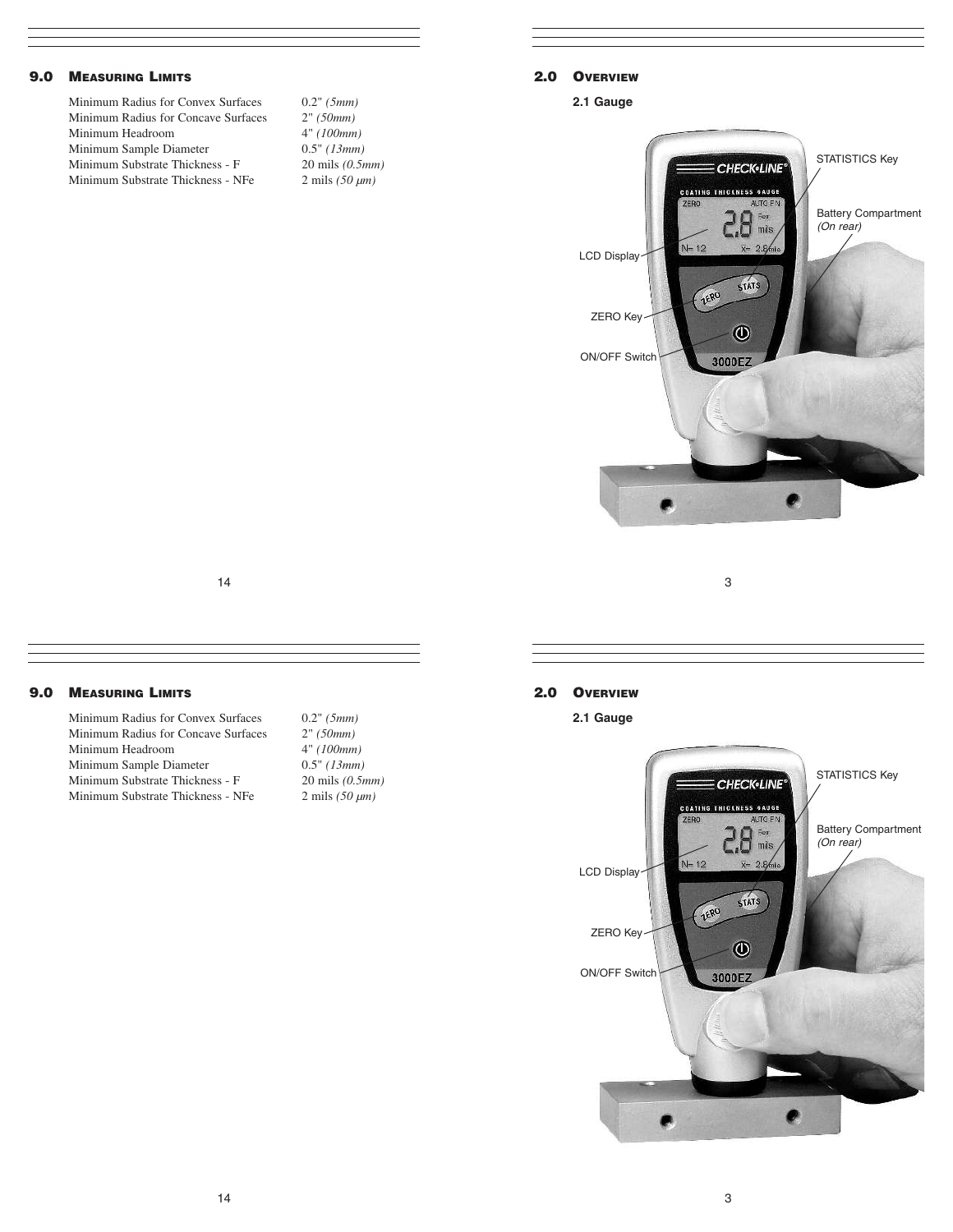# 9.0 MEASURING LIMITS

Minimum Radius for Convex Surfaces 0.2" *(5mm)* Minimum Radius for Concave Surfaces 2" *(50mm)*<br>Minimum Headroom 4" *(100mm)* Minimum Headroom 4" *(100mm)*<br>Minimum Sample Diameter 0.5" *(13mm)* **Minimum Sample Diameter** Minimum Substrate Thickness - F 20 mils *(0.5mm)* Minimum Substrate Thickness - NFe 2 mils (50  $\mu$ m)

# 2.0 OVERVIEW

**2.1 Gauge**



3

14

# 9.0 MEASURING LIMITS

Minimum Radius for Convex Surfaces 0.2" *(5mm)* Minimum Radius for Concave Surfaces 2" *(50mm)*<br>Minimum Headroom 4" *(100mm)* Minimum Headroom 4" *(100mm)*<br>Minimum Sample Diameter 0.5" *(13mm)* **Minimum Sample Diameter** Minimum Substrate Thickness - F 20 mils *(0.5mm)* Minimum Substrate Thickness - NFe 2 mils (50  $\mu$ m)

# 2.0 OVERVIEW

**2.1 Gauge**

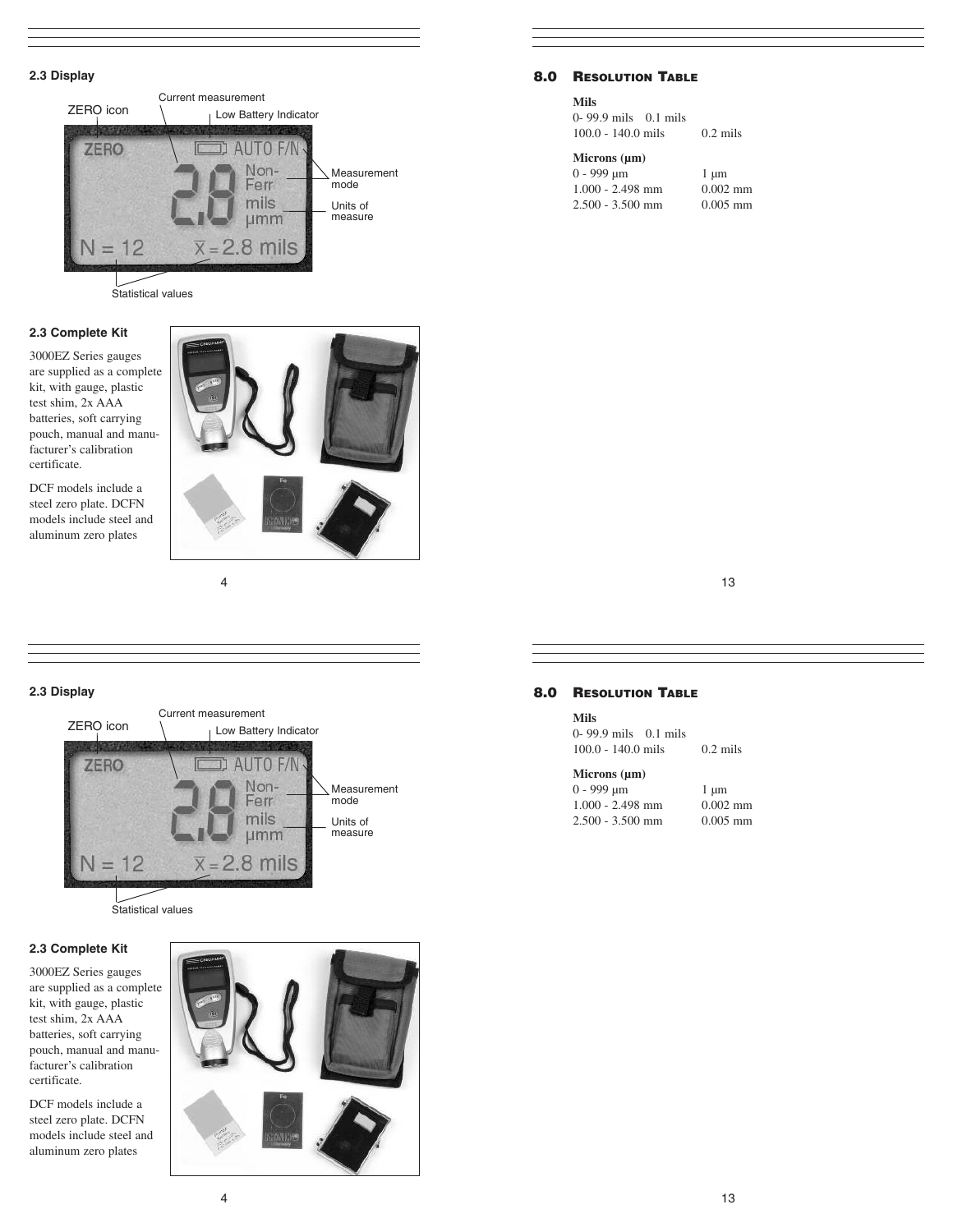# **2.3 Display**



Statistical values

## **2.3 Complete Kit**

3000EZ Series gauges are supplied as a complete kit, with gauge, plastic test shim, 2x AAA batteries, soft carrying pouch, manual and manufacturer's calibration certificate.

DCF models include a steel zero plate. DCFN models include steel and aluminum zero plates



4

# **2.3 Display**



### **2.3 Complete Kit**

3000EZ Series gauges are supplied as a complete kit, with gauge, plastic test shim, 2x AAA batteries, soft carrying pouch, manual and manufacturer's calibration certificate.

DCF models include a steel zero plate. DCFN models include steel and aluminum zero plates



# 8.0 RESOLUTION TABLE

#### **Mils**

|                      | $0 - 99.9$ mils $0.1$ mils |  |
|----------------------|----------------------------|--|
| $100.0 - 140.0$ mils |                            |  |

#### **Microns (µm)**

| $0 - 999$ um       | $1 \mu m$  |
|--------------------|------------|
| $1.000 - 2.498$ mm | $0.002$ mm |
| $2.500 - 3.500$ mm | $0.005$ mm |

 $0.2$  mils

13

# 8.0 RESOLUTION TABLE

#### **Mils**

|                      | 0-99.9 mils 0.1 mils |            |
|----------------------|----------------------|------------|
| $100.0 - 140.0$ mils |                      | $0.2$ mils |

#### **Microns (µm)**

| $0 - 999$ um       | $1 \mu m$  |
|--------------------|------------|
| $1.000 - 2.498$ mm | $0.002$ mm |
| $2.500 - 3.500$ mm | $0.005$ mm |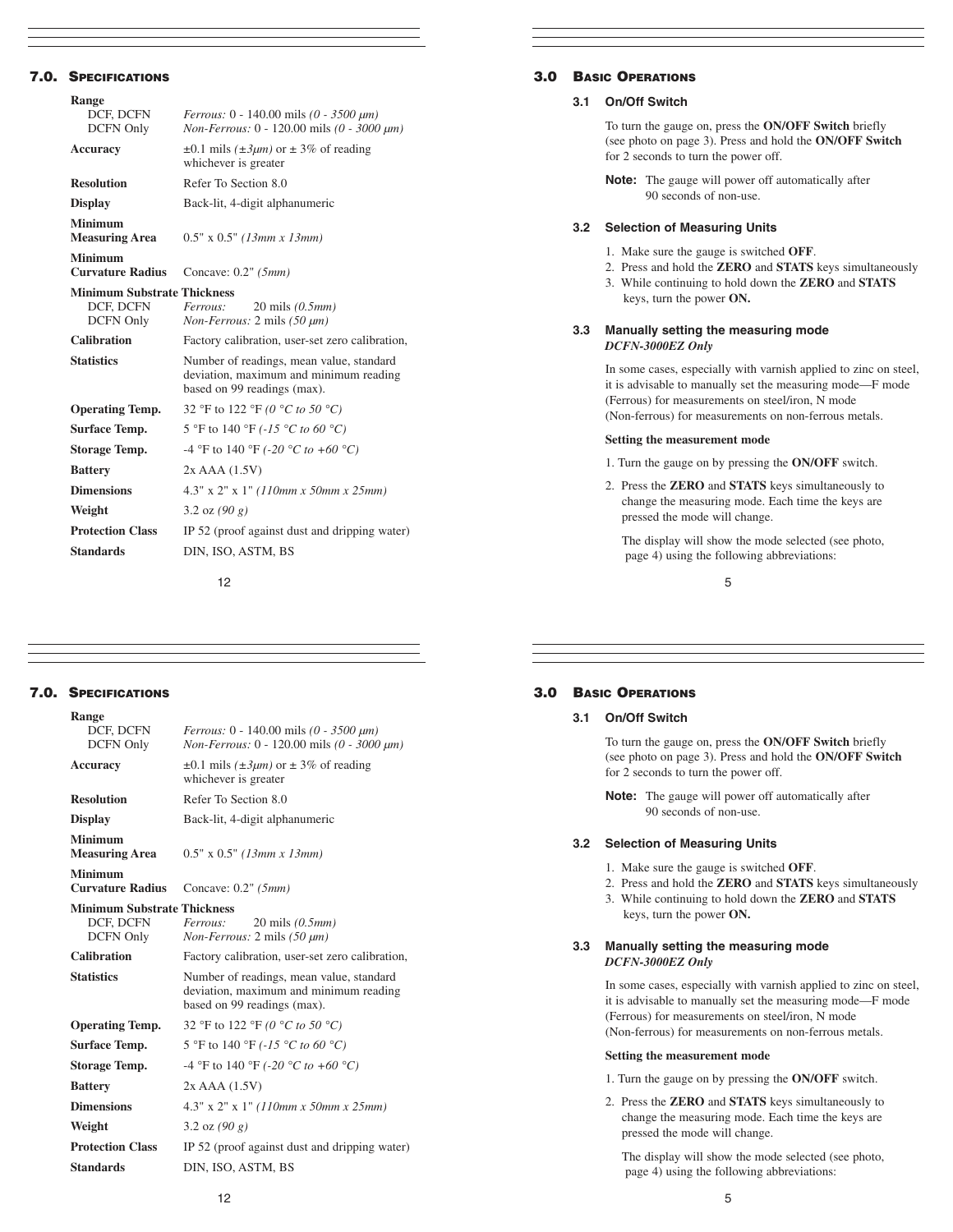# 7.0. SPECIFICATIONS

| Range                                   |                                                                                                                   |  |  |  |
|-----------------------------------------|-------------------------------------------------------------------------------------------------------------------|--|--|--|
| DCF, DCFN                               | <i>Ferrous:</i> $0 - 140.00$ mils $(0 - 3500 \mu m)$                                                              |  |  |  |
| <b>DCFN Only</b>                        | Non-Ferrous: 0 - 120.00 mils (0 - 3000 µm)                                                                        |  |  |  |
| Accuracy                                | $\pm 0.1$ mils ( $\pm 3\mu m$ ) or $\pm 3\%$ of reading<br>whichever is greater                                   |  |  |  |
| <b>Resolution</b>                       | Refer To Section 8.0                                                                                              |  |  |  |
| <b>Display</b>                          | Back-lit, 4-digit alphanumeric                                                                                    |  |  |  |
| <b>Minimum</b><br><b>Measuring Area</b> | $0.5" \times 0.5"$ (13mm x 13mm)                                                                                  |  |  |  |
| Minimum<br><b>Curvature Radius</b>      | Concave: $0.2$ " ( $5mm$ )                                                                                        |  |  |  |
| <b>Minimum Substrate Thickness</b>      |                                                                                                                   |  |  |  |
| DCF, DCFN                               | Ferrous:<br>20 mils $(0.5mm)$                                                                                     |  |  |  |
| DCFN Only                               | <i>Non-Ferrous:</i> $2 \text{ mils}$ (50 $\mu$ <i>m</i> )                                                         |  |  |  |
|                                         |                                                                                                                   |  |  |  |
| Calibration                             | Factory calibration, user-set zero calibration,                                                                   |  |  |  |
| <b>Statistics</b>                       | Number of readings, mean value, standard<br>deviation, maximum and minimum reading<br>based on 99 readings (max). |  |  |  |
| <b>Operating Temp.</b>                  | 32 °F to 122 °F (0 °C to 50 °C)                                                                                   |  |  |  |
| <b>Surface Temp.</b>                    | 5 °F to 140 °F (-15 °C to 60 °C)                                                                                  |  |  |  |
| <b>Storage Temp.</b>                    | -4 °F to 140 °F (-20 °C to +60 °C)                                                                                |  |  |  |
| <b>Battery</b>                          | $2x$ AAA $(1.5V)$                                                                                                 |  |  |  |
| <b>Dimensions</b>                       | $4.3"$ x 2" x 1" (110mm x 50mm x 25mm)                                                                            |  |  |  |
| Weight                                  | 3.2 oz $(90 g)$                                                                                                   |  |  |  |
| <b>Protection Class</b>                 | IP 52 (proof against dust and dripping water)                                                                     |  |  |  |
| <b>Standards</b>                        | DIN, ISO, ASTM, BS                                                                                                |  |  |  |

12

# 3.0 BASIC OPERATIONS

## **3.1 On/Off Switch**

To turn the gauge on, press the **ON/OFF Switch** briefly (see photo on page 3). Press and hold the **ON/OFF Switch**  for 2 seconds to turn the power off.

**Note:** The gauge will power off automatically after 90 seconds of non-use.

#### **3.2 Selection of Measuring Units**

- 1. Make sure the gauge is switched **OFF**.
- 2. Press and hold the **ZERO** and **STATS** keys simultaneously
- 3. While continuing to hold down the **ZERO** and **STATS** keys, turn the power **ON.**

#### **3.3 Manually setting the measuring mode**  *DCFN-3000EZ Only*

In some cases, especially with varnish applied to zinc on steel, it is advisable to manually set the measuring mode—F mode (Ferrous) for measurements on steel/iron, N mode (Non-ferrous) for measurements on non-ferrous metals.

#### **Setting the measurement mode**

- 1. Turn the gauge on by pressing the **ON/OFF** switch.
- 2. Press the **ZERO** and **STATS** keys simultaneously to change the measuring mode. Each time the keys are pressed the mode will change.

The display will show the mode selected (see photo, page 4) using the following abbreviations:

5

# 7.0. SPECIFICATIONS

| Range                              |                                                                                                                   |  |
|------------------------------------|-------------------------------------------------------------------------------------------------------------------|--|
| DCF, DCFN<br><b>DCFN Only</b>      | <i>Ferrous:</i> $0 - 140.00$ mils $(0 - 3500 \mu m)$<br>Non-Ferrous: 0 - 120.00 mils (0 - 3000 μm)                |  |
| Accuracy                           | $\pm 0.1$ mils ( $\pm 3\mu m$ ) or $\pm 3\%$ of reading<br>whichever is greater                                   |  |
| <b>Resolution</b>                  | Refer To Section 8.0                                                                                              |  |
| <b>Display</b>                     | Back-lit, 4-digit alphanumeric                                                                                    |  |
| Minimum<br><b>Measuring Area</b>   | $0.5"$ x $0.5"$ (13mm x 13mm)                                                                                     |  |
| Minimum<br><b>Curvature Radius</b> | Concave: $0.2$ " ( $5mm$ )                                                                                        |  |
| <b>Minimum Substrate Thickness</b> |                                                                                                                   |  |
| DCF, DCFN                          | Ferrous:<br>$20 \text{ miles } (0.5mm)$                                                                           |  |
| DCFN Only                          | Non-Ferrous: 2 mils (50 µm)                                                                                       |  |
| Calibration                        | Factory calibration, user-set zero calibration,                                                                   |  |
| <b>Statistics</b>                  | Number of readings, mean value, standard<br>deviation, maximum and minimum reading<br>based on 99 readings (max). |  |
|                                    |                                                                                                                   |  |
| <b>Operating Temp.</b>             | 32 °F to 122 °F (0 °C to 50 °C)                                                                                   |  |
| <b>Surface Temp.</b>               | 5 °F to 140 °F (-15 °C to 60 °C)                                                                                  |  |
| <b>Storage Temp.</b>               | -4 °F to 140 °F (-20 °C to +60 °C)                                                                                |  |
| <b>Battery</b>                     | $2x$ AAA $(1.5V)$                                                                                                 |  |
| <b>Dimensions</b>                  | $4.3''$ x 2" x 1" (110mm x 50mm x 25mm)                                                                           |  |
| Weight                             | 3.2 oz $(90 g)$                                                                                                   |  |
| <b>Protection Class</b>            | IP 52 (proof against dust and dripping water)                                                                     |  |
| <b>Standards</b>                   | DIN, ISO, ASTM, BS                                                                                                |  |

#### 3.0 BASIC OPERATIONS

# **3.1 On/Off Switch**

To turn the gauge on, press the **ON/OFF Switch** briefly (see photo on page 3). Press and hold the **ON/OFF Switch**  for 2 seconds to turn the power off.

**Note:** The gauge will power off automatically after 90 seconds of non-use.

#### **3.2 Selection of Measuring Units**

- 1. Make sure the gauge is switched **OFF**.
- 2. Press and hold the **ZERO** and **STATS** keys simultaneously
- 3. While continuing to hold down the **ZERO** and **STATS** keys, turn the power **ON.**

#### **3.3 Manually setting the measuring mode**  *DCFN-3000EZ Only*

In some cases, especially with varnish applied to zinc on steel, it is advisable to manually set the measuring mode—F mode (Ferrous) for measurements on steel/iron, N mode (Non-ferrous) for measurements on non-ferrous metals.

## **Setting the measurement mode**

- 1. Turn the gauge on by pressing the **ON/OFF** switch.
- 2. Press the **ZERO** and **STATS** keys simultaneously to change the measuring mode. Each time the keys are pressed the mode will change.

The display will show the mode selected (see photo, page 4) using the following abbreviations: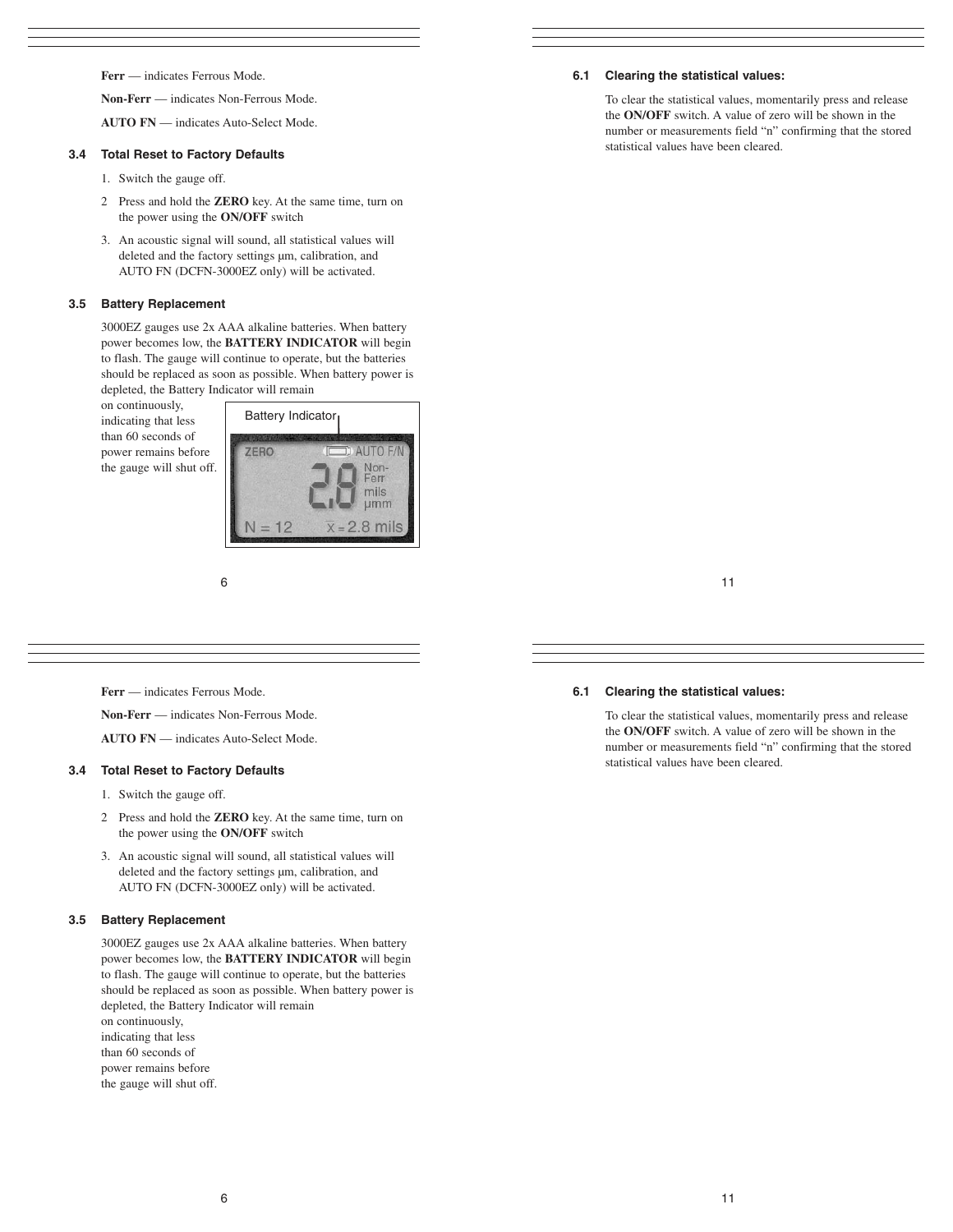**Ferr** — indicates Ferrous Mode.

**Non-Ferr** — indicates Non-Ferrous Mode.

**AUTO FN** — indicates Auto-Select Mode.

## **3.4 Total Reset to Factory Defaults**

- 1. Switch the gauge off.
- 2 Press and hold the **ZERO** key. At the same time, turn on the power using the **ON/OFF** switch
- 3. An acoustic signal will sound, all statistical values will deleted and the factory settings  $\mu$ m, calibration, and AUTO FN (DCFN-3000EZ only) will be activated.

### **3.5 Battery Replacement**

3000EZ gauges use 2x AAA alkaline batteries. When battery power becomes low, the **BATTERY INDICATOR** will begin to flash. The gauge will continue to operate, but the batteries should be replaced as soon as possible. When battery power is depleted, the Battery Indicator will remain

on continuously, indicating that less than 60 seconds of power remains before the gauge will shut off.



6

**Ferr** — indicates Ferrous Mode.

**Non-Ferr** — indicates Non-Ferrous Mode.

**AUTO FN** — indicates Auto-Select Mode.

# **3.4 Total Reset to Factory Defaults**

- 1. Switch the gauge off.
- 2 Press and hold the **ZERO** key. At the same time, turn on the power using the **ON/OFF** switch
- 3. An acoustic signal will sound, all statistical values will deleted and the factory settings  $\mu$ m, calibration, and AUTO FN (DCFN-3000EZ only) will be activated.

#### **3.5 Battery Replacement**

3000EZ gauges use 2x AAA alkaline batteries. When battery power becomes low, the **BATTERY INDICATOR** will begin to flash. The gauge will continue to operate, but the batteries should be replaced as soon as possible. When battery power is depleted, the Battery Indicator will remain on continuously, indicating that less than 60 seconds of power remains before the gauge will shut off.

# **6.1 Clearing the statistical values:**

To clear the statistical values, momentarily press and release the **ON/OFF** switch. A value of zero will be shown in the number or measurements field "n" confirming that the stored statistical values have been cleared.

# **6.1 Clearing the statistical values:**

To clear the statistical values, momentarily press and release the **ON/OFF** switch. A value of zero will be shown in the number or measurements field "n" confirming that the stored statistical values have been cleared.

11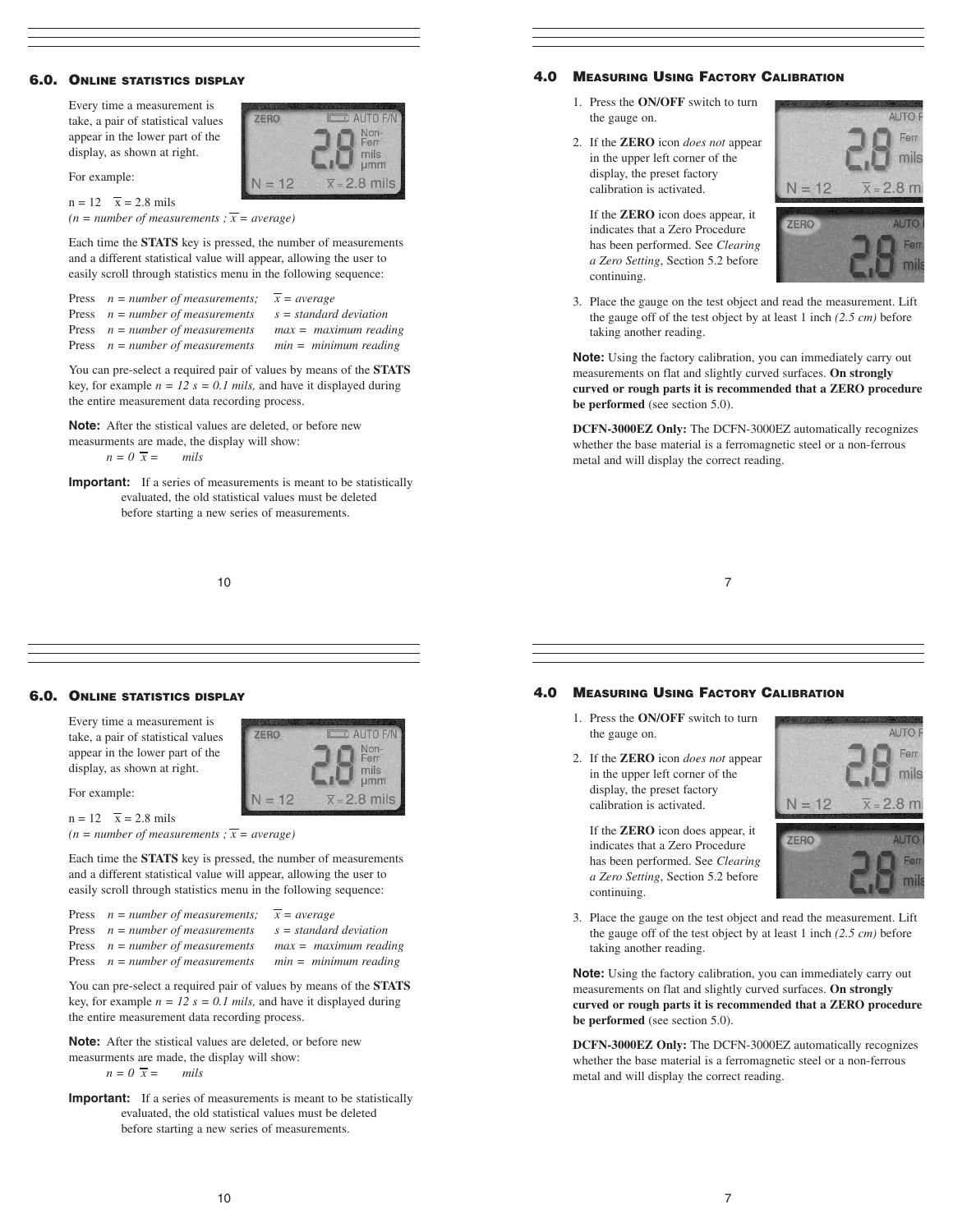## 6.0. ONLINE STATISTICS DISPLAY

Every time a measurement is take, a pair of statistical values appear in the lower part of the display, as shown at right.

For example:

 $n = 12$   $\overline{x} = 2.8$  mils

 $(n = number of measurements; \overline{x} = average)$ 

Each time the **STATS** key is pressed, the number of measurements and a different statistical value will appear, allowing the user to easily scroll through statistics menu in the following sequence:

ZERO

 $N = 12$ 

AUTO F/ Non-<br>Ferr

mils

 $\mu$ mm 2.8 mils

AUTO F/I

Non-<br>Ferr

mils<br>µmm

 $\overline{x}$  = 2.8 mils

| Press $n = number of measurements; \overline{x} = average$ |                          |
|------------------------------------------------------------|--------------------------|
| Press $n = number of measurements$                         | $s = standard deviation$ |
| Press $n = number of measurements$                         | $max = maximum reading$  |
| Press $n = number of measurements$                         | $min = minimum reading$  |

You can pre-select a required pair of values by means of the **STATS** key, for example  $n = 12$   $s = 0.1$  mils, and have it displayed during the entire measurement data recording process.

**Note:** After the stistical values are deleted, or before new measurments are made, the display will show:

 $n = 0 \overline{x} =$  *mils* 

**Important:** If a series of measurements is meant to be statistically evaluated, the old statistical values must be deleted before starting a new series of measurements.

10

# 4.0 MEASURING USING FACTORY CALIBRATION

- 1. Press the **ON/OFF** switch to turn the gauge on.
- 2. If the **ZERO** icon *does not* appear in the upper left corner of the display, the preset factory calibration is activated.

If the **ZERO** icon does appear, it indicates that a Zero Procedure has been performed. See *Clearing a Zero Setting*, Section 5.2 before continuing.





3. Place the gauge on the test object and read the measurement. Lift the gauge off of the test object by at least 1 inch *(2.5 cm)* before taking another reading.

**Note:** Using the factory calibration, you can immediately carry out measurements on flat and slightly curved surfaces. **On strongly curved or rough parts it is recommended that a ZERO procedure be performed** (see section 5.0).

**DCFN-3000EZ Only:** The DCFN-3000EZ automatically recognizes whether the base material is a ferromagnetic steel or a non-ferrous metal and will display the correct reading.

7

#### 6.0. ONLINE STATISTICS DISPLAY

Every time a measurement is take, a pair of statistical values appear in the lower part of the display, as shown at right.

For example:

 $n = 12$   $\overline{x} = 2.8$  mils  $(n = number of measurements; \overline{x} = average)$ 

Each time the **STATS** key is pressed, the number of measurements and a different statistical value will appear, allowing the user to easily scroll through statistics menu in the following sequence:

**ZERO** 

 $N = 12$ 

| Press $n = number of measurements;$ | $x = average$            |
|-------------------------------------|--------------------------|
| Press $n = number of measurements$  | $s = standard deviation$ |
| Press $n = number of measurements$  | $max = maximum reading$  |
| Press $n = number of measurements$  | $min = minimum reading$  |

You can pre-select a required pair of values by means of the **STATS** key, for example  $n = 12$   $s = 0.1$  mils, and have it displayed during the entire measurement data recording process.

**Note:** After the stistical values are deleted, or before new measurments are made, the display will show:  $n = 0 \overline{x} =$  *mils* 

**Important:** If a series of measurements is meant to be statistically evaluated, the old statistical values must be deleted before starting a new series of measurements.

#### 4.0 MEASURING USING FACTORY CALIBRATION

- 1. Press the **ON/OFF** switch to turn the gauge on.
- 2. If the **ZERO** icon *does not* appear in the upper left corner of the display, the preset factory calibration is activated.

If the **ZERO** icon does appear, it indicates that a Zero Procedure has been performed. See *Clearing a Zero Setting*, Section 5.2 before continuing.





3. Place the gauge on the test object and read the measurement. Lift the gauge off of the test object by at least 1 inch *(2.5 cm)* before taking another reading.

**Note:** Using the factory calibration, you can immediately carry out measurements on flat and slightly curved surfaces. **On strongly curved or rough parts it is recommended that a ZERO procedure be performed** (see section 5.0).

**DCFN-3000EZ Only:** The DCFN-3000EZ automatically recognizes whether the base material is a ferromagnetic steel or a non-ferrous metal and will display the correct reading.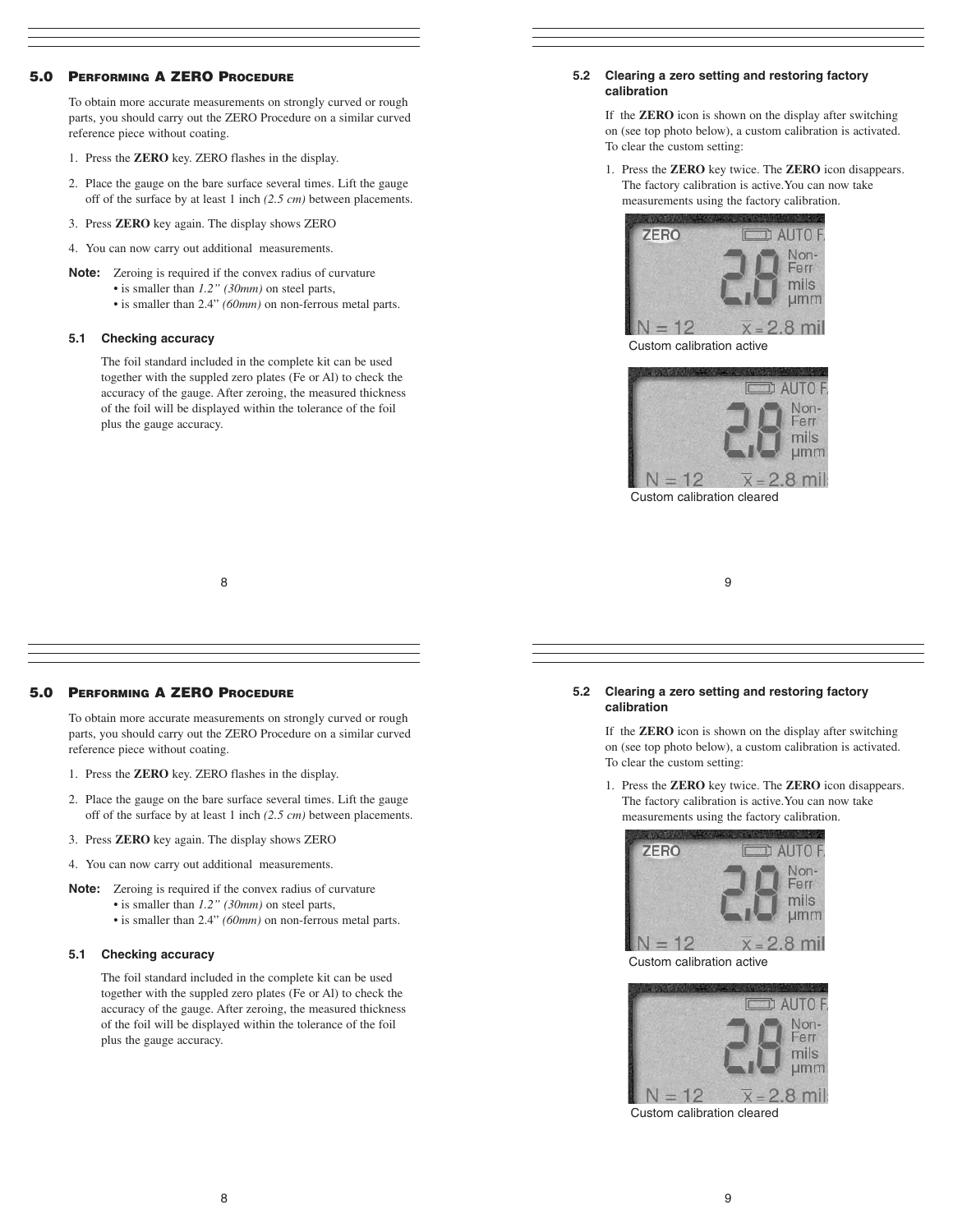# 5.0 PERFORMING A ZERO PROCEDURE

To obtain more accurate measurements on strongly curved or rough parts, you should carry out the ZERO Procedure on a similar curved reference piece without coating.

- 1. Press the **ZERO** key. ZERO flashes in the display.
- 2. Place the gauge on the bare surface several times. Lift the gauge off of the surface by at least 1 inch *(2.5 cm)* between placements.
- 3. Press **ZERO** key again. The display shows ZERO
- 4. You can now carry out additional measurements.
- **Note:** Zeroing is required if the convex radius of curvature
	- is smaller than *1.2" (30mm)* on steel parts,
	- is smaller than 2.4" *(60mm)* on non-ferrous metal parts.

# **5.1 Checking accuracy**

The foil standard included in the complete kit can be used together with the suppled zero plates (Fe or Al) to check the accuracy of the gauge. After zeroing, the measured thickness of the foil will be displayed within the tolerance of the foil plus the gauge accuracy.

#### **5.2 Clearing a zero setting and restoring factory calibration**

If the **ZERO** icon is shown on the display after switching on (see top photo below), a custom calibration is activated. To clear the custom setting:

1. Press the **ZERO** key twice. The **ZERO** icon disappears. The factory calibration is active.You can now take measurements using the factory calibration.



Custom calibration active



8

# 5.0 PERFORMING A ZERO PROCEDURE

To obtain more accurate measurements on strongly curved or rough parts, you should carry out the ZERO Procedure on a similar curved reference piece without coating.

- 1. Press the **ZERO** key. ZERO flashes in the display.
- 2. Place the gauge on the bare surface several times. Lift the gauge off of the surface by at least 1 inch *(2.5 cm)* between placements.
- 3. Press **ZERO** key again. The display shows ZERO
- 4. You can now carry out additional measurements.
- **Note:** Zeroing is required if the convex radius of curvature
	- is smaller than *1.2" (30mm)* on steel parts,
	- is smaller than 2.4" *(60mm)* on non-ferrous metal parts.

#### **5.1 Checking accuracy**

The foil standard included in the complete kit can be used together with the suppled zero plates (Fe or Al) to check the accuracy of the gauge. After zeroing, the measured thickness of the foil will be displayed within the tolerance of the foil plus the gauge accuracy.



#### **5.2 Clearing a zero setting and restoring factory calibration**

If the **ZERO** icon is shown on the display after switching on (see top photo below), a custom calibration is activated. To clear the custom setting:

1. Press the **ZERO** key twice. The **ZERO** icon disappears. The factory calibration is active.You can now take measurements using the factory calibration.



Custom calibration active